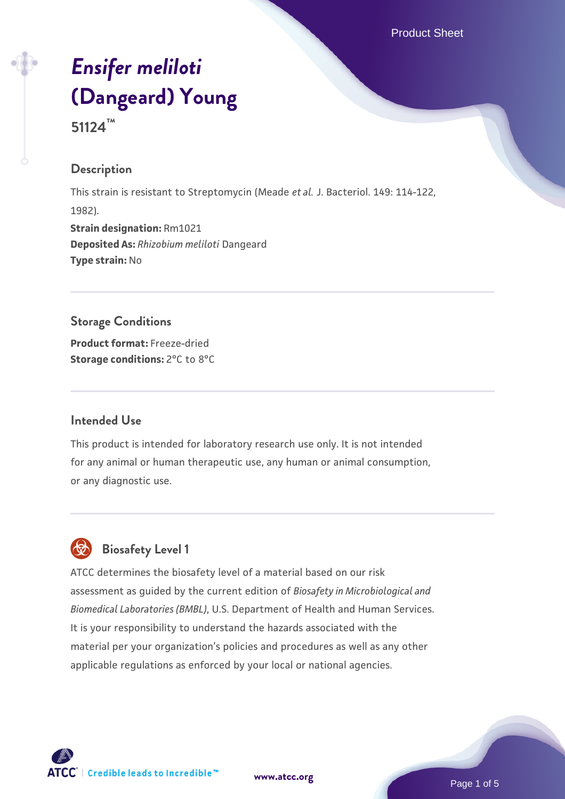Product Sheet

# *[Ensifer meliloti](https://www.atcc.org/products/51124)* **[\(Dangeard\) Young](https://www.atcc.org/products/51124)**

**51124™**

#### **Description**

This strain is resistant to Streptomycin (Meade *et al.* J. Bacteriol. 149: 114-122, 1982). **Strain designation:** Rm1021 **Deposited As:** *Rhizobium meliloti* Dangeard **Type strain:** No

## **Storage Conditions**

**Product format:** Freeze-dried **Storage conditions:** 2°C to 8°C

#### **Intended Use**

This product is intended for laboratory research use only. It is not intended for any animal or human therapeutic use, any human or animal consumption, or any diagnostic use.

# **Biosafety Level 1**

ATCC determines the biosafety level of a material based on our risk assessment as guided by the current edition of *Biosafety in Microbiological and Biomedical Laboratories (BMBL)*, U.S. Department of Health and Human Services. It is your responsibility to understand the hazards associated with the material per your organization's policies and procedures as well as any other applicable regulations as enforced by your local or national agencies.



**[www.atcc.org](http://www.atcc.org)**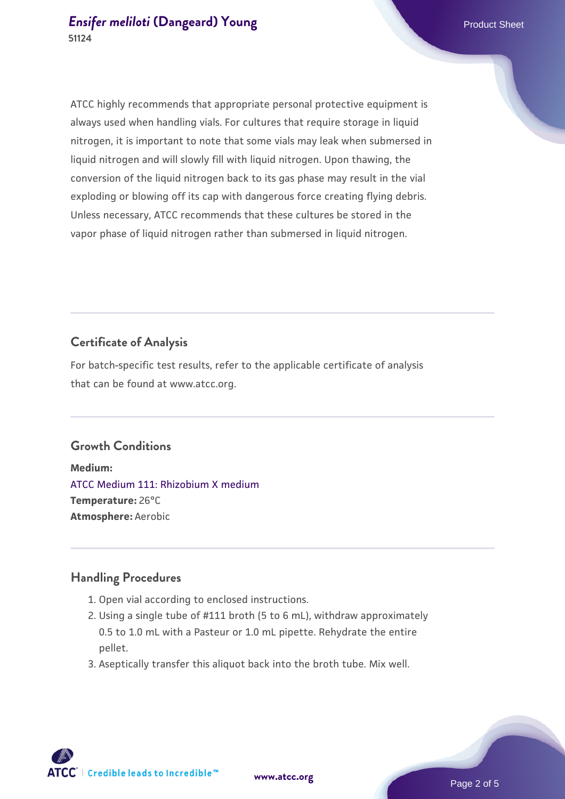#### **[Ensifer meliloti](https://www.atcc.org/products/51124)** [\(Dangeard\) Young](https://www.atcc.org/products/51124) **Product Sheet** Product Sheet **51124**

ATCC highly recommends that appropriate personal protective equipment is always used when handling vials. For cultures that require storage in liquid nitrogen, it is important to note that some vials may leak when submersed in liquid nitrogen and will slowly fill with liquid nitrogen. Upon thawing, the conversion of the liquid nitrogen back to its gas phase may result in the vial exploding or blowing off its cap with dangerous force creating flying debris. Unless necessary, ATCC recommends that these cultures be stored in the vapor phase of liquid nitrogen rather than submersed in liquid nitrogen.

#### **Certificate of Analysis**

For batch-specific test results, refer to the applicable certificate of analysis that can be found at www.atcc.org.

#### **Growth Conditions**

**Medium:**  [ATCC Medium 111: Rhizobium X medium](https://www.atcc.org/-/media/product-assets/documents/microbial-media-formulations/1/1/1/atcc-medium-111.pdf?rev=09b639c3b51a4ff6b54f58972ddd30cf) **Temperature:** 26°C **Atmosphere:** Aerobic

#### **Handling Procedures**

- 1. Open vial according to enclosed instructions.
- 2. Using a single tube of #111 broth (5 to 6 mL), withdraw approximately 0.5 to 1.0 mL with a Pasteur or 1.0 mL pipette. Rehydrate the entire pellet.
- 3. Aseptically transfer this aliquot back into the broth tube. Mix well.

**ATCC** | Credible leads to Incredible™

**[www.atcc.org](http://www.atcc.org)**

Page 2 of 5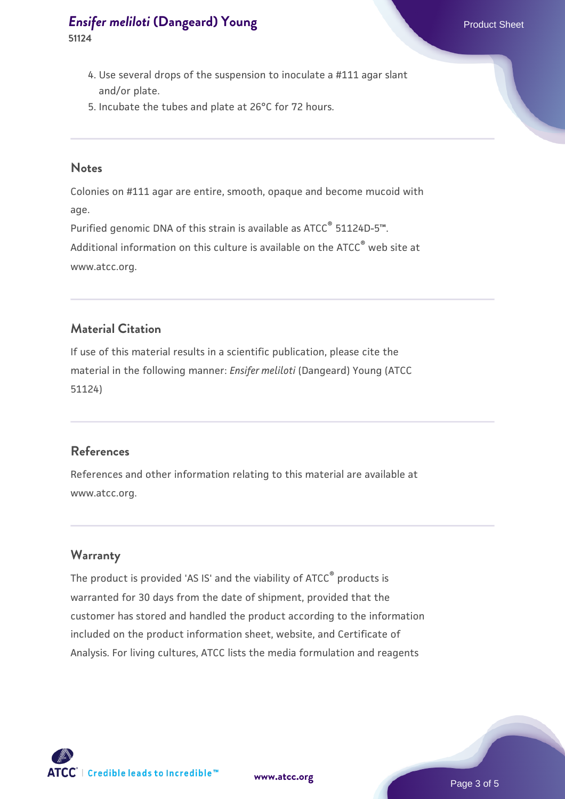## **[Ensifer meliloti](https://www.atcc.org/products/51124)** [\(Dangeard\) Young](https://www.atcc.org/products/51124) **Product Sheet** Product Sheet

**51124**

- 4. Use several drops of the suspension to inoculate a #111 agar slant and/or plate.
- 5. Incubate the tubes and plate at 26°C for 72 hours.

#### **Notes**

Colonies on #111 agar are entire, smooth, opaque and become mucoid with age.

Purified genomic DNA of this strain is available as ATCC<sup>®</sup> 51124D-5™.

Additional information on this culture is available on the ATCC<sup>®</sup> web site at www.atcc.org.

#### **Material Citation**

If use of this material results in a scientific publication, please cite the material in the following manner: *Ensifer meliloti* (Dangeard) Young (ATCC 51124)

#### **References**

References and other information relating to this material are available at www.atcc.org.

#### **Warranty**

The product is provided 'AS IS' and the viability of ATCC® products is warranted for 30 days from the date of shipment, provided that the customer has stored and handled the product according to the information included on the product information sheet, website, and Certificate of Analysis. For living cultures, ATCC lists the media formulation and reagents

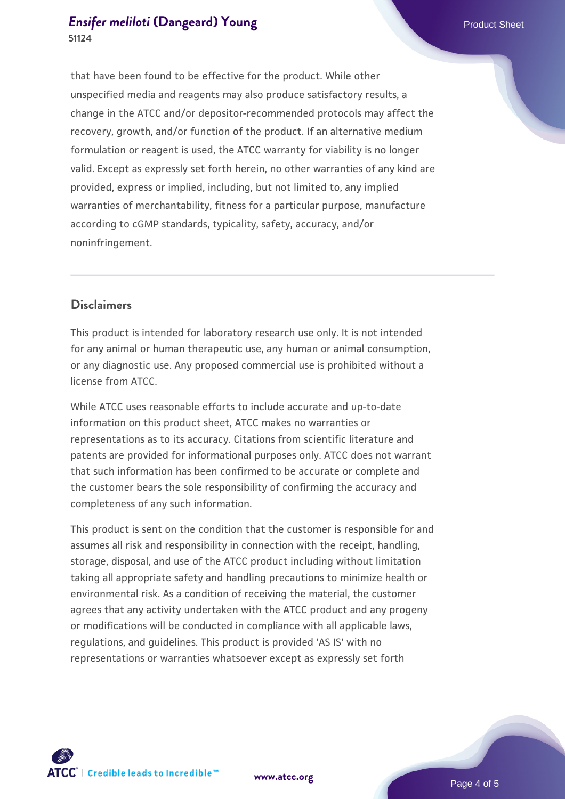that have been found to be effective for the product. While other unspecified media and reagents may also produce satisfactory results, a change in the ATCC and/or depositor-recommended protocols may affect the recovery, growth, and/or function of the product. If an alternative medium formulation or reagent is used, the ATCC warranty for viability is no longer valid. Except as expressly set forth herein, no other warranties of any kind are provided, express or implied, including, but not limited to, any implied warranties of merchantability, fitness for a particular purpose, manufacture according to cGMP standards, typicality, safety, accuracy, and/or noninfringement.

#### **Disclaimers**

This product is intended for laboratory research use only. It is not intended for any animal or human therapeutic use, any human or animal consumption, or any diagnostic use. Any proposed commercial use is prohibited without a license from ATCC.

While ATCC uses reasonable efforts to include accurate and up-to-date information on this product sheet, ATCC makes no warranties or representations as to its accuracy. Citations from scientific literature and patents are provided for informational purposes only. ATCC does not warrant that such information has been confirmed to be accurate or complete and the customer bears the sole responsibility of confirming the accuracy and completeness of any such information.

This product is sent on the condition that the customer is responsible for and assumes all risk and responsibility in connection with the receipt, handling, storage, disposal, and use of the ATCC product including without limitation taking all appropriate safety and handling precautions to minimize health or environmental risk. As a condition of receiving the material, the customer agrees that any activity undertaken with the ATCC product and any progeny or modifications will be conducted in compliance with all applicable laws, regulations, and guidelines. This product is provided 'AS IS' with no representations or warranties whatsoever except as expressly set forth



**[www.atcc.org](http://www.atcc.org)**

Page 4 of 5